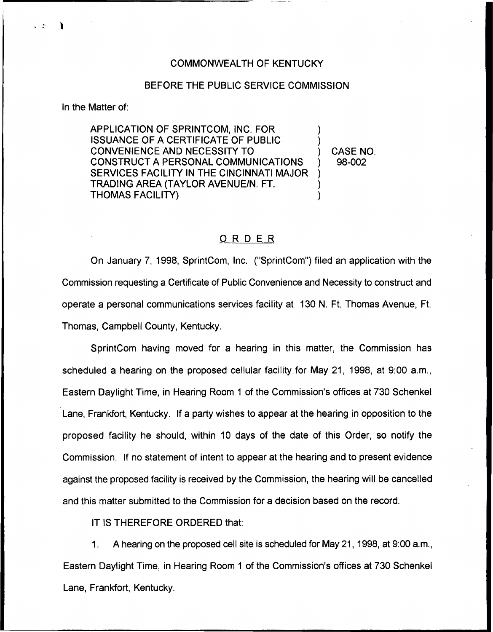## COMMONWEALTH OF KENTUCKY

## BEFORE THE PUBLIC SERVICE COMMISSION

In the Matter of:

 $\mathbf{r}$ 

APPLICATION OF SPRINTCOM, INC. FOR ISSUANCE OF A CERTIFICATE OF PUBLIC CONVENIENCE AND NECESSITY TO CONSTRUCT A PERSONAL COMMUNICATIONS SERVICES FACILITY IN THE CINCINNATI MAJOR TRADING AREA (TAYLOR AVENUE/N. FT. THOMAS FACILITY) ) ) ) ) )

) CASE NO. ) 98-002

## ORDER

On January?, 1998, SprintCom, Inc. ("SprintCom") filed an application with the Commission requesting a Certificate of Public Convenience and Necessity to construct and operate a personal communications services facility at 130 N. Ft. Thomas Avenue, Ft. Thomas, Campbell County, Kentucky.

SprintCom having moved for a hearing in this matter, the Commission has scheduled a hearing on the proposed cellular facility for May 21, 1998, at 9:00 a.m., Eastern Daylight Time, in Hearing Room <sup>1</sup> of the Commission's offices at 730 Schenkel Lane, Frankfort, Kentucky. If a party wishes to appear at the hearing in opposition to the proposed facility he should, within 10 days of the date of this Order, so notify the Commission. If no statement of intent to appear at the hearing and to present evidence against the proposed facility is received by the Commission, the hearing will be cancelled and this matter submitted to the Commission for a decision based on the record.

IT IS THEREFORE ORDERED that:

1. A hearing on the proposed cell site is scheduled for May 21, 1998, at 9:00 a.m., Eastern Daylight Time, in Hearing Room <sup>1</sup> of the Commission's offices at 730 Schenkel Lane, Frankfort, Kentucky.